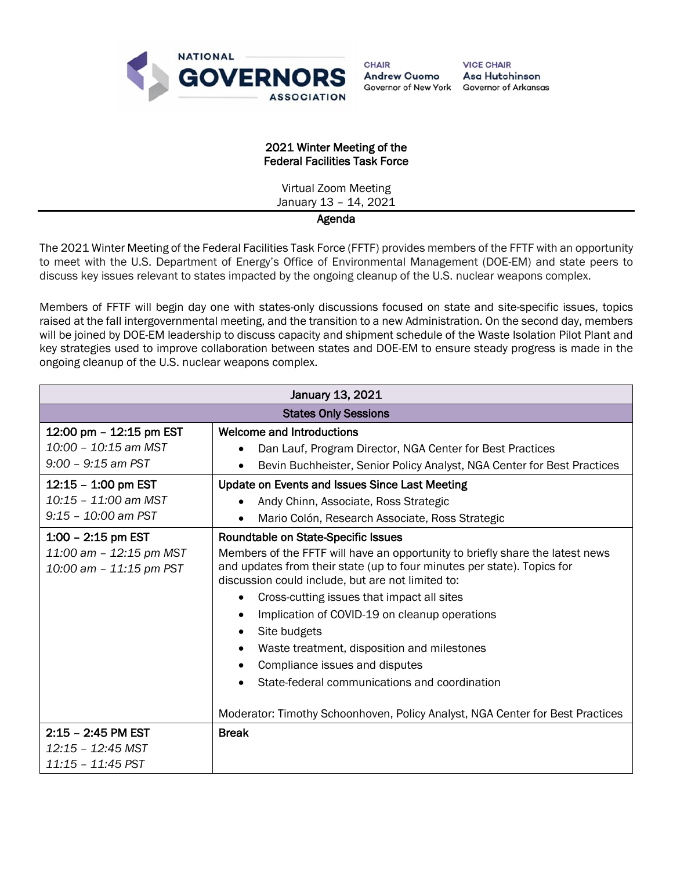

**VICE CHAIR** Asa Hutchinson **Governor of Arkansas** 

## 2021 Winter Meeting of the Federal Facilities Task Force

Virtual Zoom Meeting January 13 – 14, 2021

## Agenda

The 2021 Winter Meeting of the Federal Facilities Task Force (FFTF) provides members of the FFTF with an opportunity to meet with the U.S. Department of Energy's Office of Environmental Management (DOE-EM) and state peers to discuss key issues relevant to states impacted by the ongoing cleanup of the U.S. nuclear weapons complex.

Members of FFTF will begin day one with states-only discussions focused on state and site-specific issues, topics raised at the fall intergovernmental meeting, and the transition to a new Administration. On the second day, members will be joined by DOE-EM leadership to discuss capacity and shipment schedule of the Waste Isolation Pilot Plant and key strategies used to improve collaboration between states and DOE-EM to ensure steady progress is made in the ongoing cleanup of the U.S. nuclear weapons complex.

| January 13, 2021                                                           |                                                                                                                                                                                                                                                                                                                                                                                                                                                                                                                                                                                                               |  |
|----------------------------------------------------------------------------|---------------------------------------------------------------------------------------------------------------------------------------------------------------------------------------------------------------------------------------------------------------------------------------------------------------------------------------------------------------------------------------------------------------------------------------------------------------------------------------------------------------------------------------------------------------------------------------------------------------|--|
| <b>States Only Sessions</b>                                                |                                                                                                                                                                                                                                                                                                                                                                                                                                                                                                                                                                                                               |  |
| 12:00 pm - 12:15 pm EST<br>10:00 - 10:15 am MST<br>$9:00 - 9:15$ am PST    | <b>Welcome and Introductions</b><br>Dan Lauf, Program Director, NGA Center for Best Practices<br>٠<br>Bevin Buchheister, Senior Policy Analyst, NGA Center for Best Practices                                                                                                                                                                                                                                                                                                                                                                                                                                 |  |
| 12:15 - 1:00 pm EST<br>10:15 - 11:00 am MST<br>$9:15 - 10:00$ am PST       | Update on Events and Issues Since Last Meeting<br>Andy Chinn, Associate, Ross Strategic<br>$\bullet$<br>Mario Colón, Research Associate, Ross Strategic                                                                                                                                                                                                                                                                                                                                                                                                                                                       |  |
| $1:00 - 2:15$ pm EST<br>11:00 am - 12:15 pm MST<br>10:00 am - 11:15 pm PST | Roundtable on State-Specific Issues<br>Members of the FFTF will have an opportunity to briefly share the latest news<br>and updates from their state (up to four minutes per state). Topics for<br>discussion could include, but are not limited to:<br>Cross-cutting issues that impact all sites<br>٠<br>Implication of COVID-19 on cleanup operations<br>Site budgets<br>٠<br>Waste treatment, disposition and milestones<br>$\bullet$<br>Compliance issues and disputes<br>State-federal communications and coordination<br>Moderator: Timothy Schoonhoven, Policy Analyst, NGA Center for Best Practices |  |
| $2:15 - 2:45$ PM EST<br>12:15 - 12:45 MST<br>11:15 - 11:45 PST             | <b>Break</b>                                                                                                                                                                                                                                                                                                                                                                                                                                                                                                                                                                                                  |  |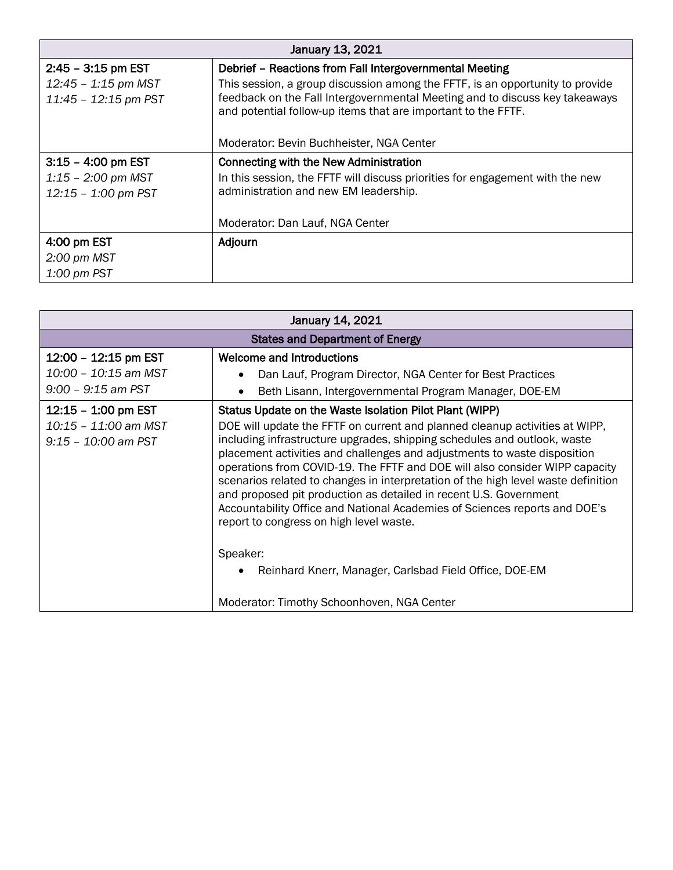| January 13, 2021                                                        |                                                                                                                                                                                                                                                                                          |  |
|-------------------------------------------------------------------------|------------------------------------------------------------------------------------------------------------------------------------------------------------------------------------------------------------------------------------------------------------------------------------------|--|
| $2:45 - 3:15$ pm EST<br>$12:45 - 1:15$ pm MST<br>$11:45 - 12:15$ pm PST | Debrief - Reactions from Fall Intergovernmental Meeting<br>This session, a group discussion among the FFTF, is an opportunity to provide<br>feedback on the Fall Intergovernmental Meeting and to discuss key takeaways<br>and potential follow-up items that are important to the FFTF. |  |
|                                                                         | Moderator: Bevin Buchheister, NGA Center                                                                                                                                                                                                                                                 |  |
| $3:15 - 4:00$ pm EST                                                    | Connecting with the New Administration                                                                                                                                                                                                                                                   |  |
| $1:15 - 2:00$ pm MST<br>12:15 - 1:00 pm PST                             | In this session, the FFTF will discuss priorities for engagement with the new<br>administration and new EM leadership.                                                                                                                                                                   |  |
|                                                                         | Moderator: Dan Lauf, NGA Center                                                                                                                                                                                                                                                          |  |
| 4:00 pm EST                                                             | Adjourn                                                                                                                                                                                                                                                                                  |  |
| $2:00 \text{ pm } \text{MST}$                                           |                                                                                                                                                                                                                                                                                          |  |
| $1:00 \text{ pm }$ PST                                                  |                                                                                                                                                                                                                                                                                          |  |

| January 14, 2021                              |                                                                                                                                                                                                                                                                                                                                                                                                                                                                                                                                                                                                       |  |
|-----------------------------------------------|-------------------------------------------------------------------------------------------------------------------------------------------------------------------------------------------------------------------------------------------------------------------------------------------------------------------------------------------------------------------------------------------------------------------------------------------------------------------------------------------------------------------------------------------------------------------------------------------------------|--|
| <b>States and Department of Energy</b>        |                                                                                                                                                                                                                                                                                                                                                                                                                                                                                                                                                                                                       |  |
| 12:00 - 12:15 pm EST                          | <b>Welcome and Introductions</b>                                                                                                                                                                                                                                                                                                                                                                                                                                                                                                                                                                      |  |
| 10:00 - 10:15 am MST                          | Dan Lauf, Program Director, NGA Center for Best Practices<br>$\bullet$                                                                                                                                                                                                                                                                                                                                                                                                                                                                                                                                |  |
| $9:00 - 9:15$ am PST                          | Beth Lisann, Intergovernmental Program Manager, DOE-EM<br>٠                                                                                                                                                                                                                                                                                                                                                                                                                                                                                                                                           |  |
| $12:15 - 1:00$ pm EST                         | Status Update on the Waste Isolation Pilot Plant (WIPP)                                                                                                                                                                                                                                                                                                                                                                                                                                                                                                                                               |  |
| 10:15 - 11:00 am MST<br>$9:15 - 10:00$ am PST | DOE will update the FFTF on current and planned cleanup activities at WIPP,<br>including infrastructure upgrades, shipping schedules and outlook, waste<br>placement activities and challenges and adjustments to waste disposition<br>operations from COVID-19. The FFTF and DOE will also consider WIPP capacity<br>scenarios related to changes in interpretation of the high level waste definition<br>and proposed pit production as detailed in recent U.S. Government<br>Accountability Office and National Academies of Sciences reports and DOE's<br>report to congress on high level waste. |  |
|                                               | Speaker:<br>Reinhard Knerr, Manager, Carlsbad Field Office, DOE-EM<br>$\bullet$<br>Moderator: Timothy Schoonhoven, NGA Center                                                                                                                                                                                                                                                                                                                                                                                                                                                                         |  |